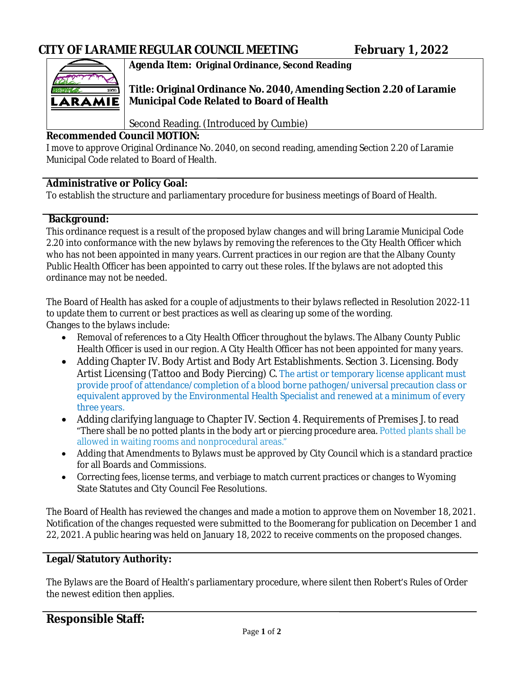

# **Agenda Item: Original Ordinance, Second Reading**

**Title: Original Ordinance No. 2040, Amending Section 2.20 of Laramie Municipal Code Related to Board of Health** 

Second Reading. (Introduced by Cumbie)

### **Recommended Council MOTION:**

I move to approve Original Ordinance No. 2040, on second reading, amending Section 2.20 of Laramie Municipal Code related to Board of Health.

## **Administrative or Policy Goal:**

To establish the structure and parliamentary procedure for business meetings of Board of Health.

### **Background:**

This ordinance request is a result of the proposed bylaw changes and will bring Laramie Municipal Code 2.20 into conformance with the new bylaws by removing the references to the City Health Officer which who has not been appointed in many years. Current practices in our region are that the Albany County Public Health Officer has been appointed to carry out these roles. If the bylaws are not adopted this ordinance may not be needed.

The Board of Health has asked for a couple of adjustments to their bylaws reflected in Resolution 2022-11 to update them to current or best practices as well as clearing up some of the wording. Changes to the bylaws include:

- Removal of references to a City Health Officer throughout the bylaws. The Albany County Public Health Officer is used in our region. A City Health Officer has not been appointed for many years.
- Adding Chapter IV. Body Artist and Body Art Establishments. Section 3. Licensing. Body Artist Licensing (Tattoo and Body Piercing) C. The artist or temporary license applicant must provide proof of attendance/completion of a blood borne pathogen/universal precaution class or equivalent approved by the Environmental Health Specialist and renewed at a minimum of every three years.
- Adding clarifying language to Chapter IV. Section 4. Requirements of Premises J. to read "There shall be no potted plants in the body art or piercing procedure area. Potted plants shall be allowed in waiting rooms and nonprocedural areas."
- Adding that Amendments to Bylaws must be approved by City Council which is a standard practice for all Boards and Commissions.
- Correcting fees, license terms, and verbiage to match current practices or changes to Wyoming State Statutes and City Council Fee Resolutions.

The Board of Health has reviewed the changes and made a motion to approve them on November 18, 2021. Notification of the changes requested were submitted to the Boomerang for publication on December 1 and 22, 2021. A public hearing was held on January 18, 2022 to receive comments on the proposed changes.

## **Legal/Statutory Authority:**

The Bylaws are the Board of Health's parliamentary procedure, where silent then Robert's Rules of Order the newest edition then applies.